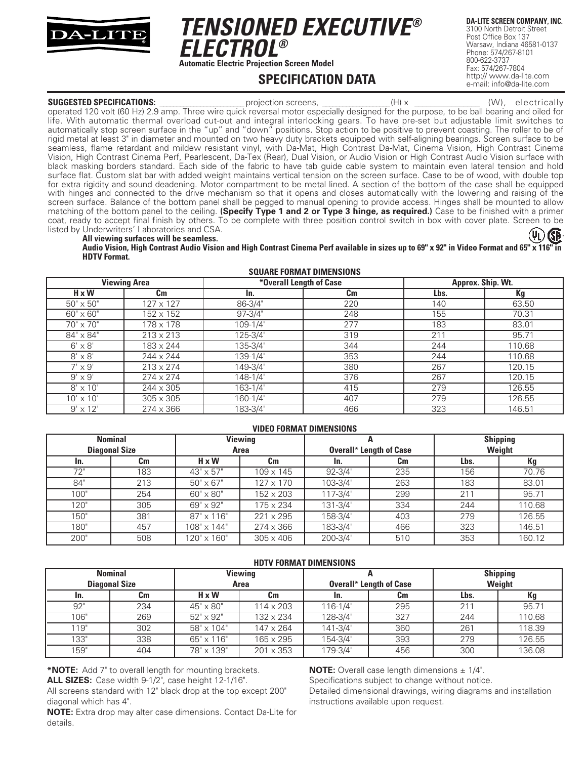

*TENSIONED EXECUTIVE® ELECTROL®* **Automatic Electric Projection Screen Model**

**SPECIFICATION DATA**

**DA-LITE SCREEN COMPANY, INC.** 3100 North Detroit Street Post Office Box 137 Warsaw, Indiana 46581-0137 Phone: 574/267-8101 800-622-3737 Fax: 574/267-7804 http:// www.da-lite.com e-mail: info@da-lite.com

**SUGGESTED SPECIFICATIONS:** \_\_\_\_\_\_\_\_\_\_\_\_\_\_\_\_\_\_\_\_\_ projection screens, \_\_\_\_\_\_\_\_\_\_\_\_\_\_\_\_(H) x \_\_\_\_\_\_\_\_\_\_\_\_\_\_\_\_\_\_\_(W), electrically operated 120 volt (60 Hz) 2.9 amp. Three wire quick reversal motor especially designed for the purpose, to be ball bearing and oiled for life. With automatic thermal overload cut-out and integral interlocking gears. To have pre-set but adjustable limit switches to automatically stop screen surface in the "up" and "down" positions. Stop action to be positive to prevent coasting. The roller to be of rigid metal at least 3" in diameter and mounted on two heavy duty brackets equipped with self-aligning bearings. Screen surface to be seamless, flame retardant and mildew resistant vinyl, with Da-Mat, High Contrast Da-Mat, Cinema Vision, High Contrast Cinema Vision, High Contrast Cinema Perf, Pearlescent, Da-Tex (Rear), Dual Vision, or Audio Vision or High Contrast Audio Vision surface with black masking borders standard. Each side of the fabric to have tab guide cable system to maintain even lateral tension and hold surface flat. Custom slat bar with added weight maintains vertical tension on the screen surface. Case to be of wood, with double top for extra rigidity and sound deadening. Motor compartment to be metal lined. A section of the bottom of the case shall be equipped with hinges and connected to the drive mechanism so that it opens and closes automatically with the lowering and raising of the screen surface. Balance of the bottom panel shall be pegged to manual opening to provide access. Hinges shall be mounted to allow matching of the bottom panel to the ceiling. **(Specify Type 1 and 2 or Type 3 hinge, as required.)** Case to be finished with a primer coat, ready to accept final finish by others. To be complete with three position control switch in box with cover plate. Screen to be listed by Underwriters' Laboratories and CSA. **ISB** 

#### **All viewing surfaces will be seamless. Audio Vision, High Contrast Audio Vision and High Contrast Cinema Perf available in sizes up to 69" x 92" in Video Format and 65" x 116" in HDTV Format.**

| <b>SQUARE FORMAT DIMENSIONS</b> |                  |             |                         |                   |        |  |
|---------------------------------|------------------|-------------|-------------------------|-------------------|--------|--|
| <b>Viewing Area</b>             |                  |             | *Overall Length of Case | Approx. Ship. Wt. |        |  |
| $H \times W$                    | Cm               | In.         | Cm                      | Lbs.              | Kg     |  |
| $50" \times 50"$                | $127 \times 127$ | 86-3/4"     | 220                     | 140               | 63.50  |  |
| $60'' \times 60''$              | 152 x 152        | $97 - 3/4"$ | 248                     | 155               | 70.31  |  |
| 70" x 70"                       | 178 x 178        | 109-1/4"    | 277                     | 183               | 83.01  |  |
| 84" x 84"                       | $213 \times 213$ | 125-3/4"    | 319                     | 211               | 95.71  |  |
| $6' \times 8'$                  | 183 x 244        | 135-3/4"    | 344                     | 244               | 110.68 |  |
| $8' \times 8'$                  | 244 x 244        | 139-1/4"    | 353                     | 244               | 110.68 |  |
| $7' \times 9'$                  | $213 \times 274$ | 149-3/4"    | 380                     | 267               | 120.15 |  |
| $9' \times 9'$                  | $274 \times 274$ | 148-1/4"    | 376                     | 267               | 120.15 |  |
| $8' \times 10'$                 | $244 \times 305$ | 163-1/4"    | 415                     | 279               | 126.55 |  |
| $10' \times 10'$                | $305 \times 305$ | 160-1/4"    | 407                     | 279               | 126.55 |  |
| $9' \times 12'$                 | 274 x 366        | 183-3/4"    | 466                     | 323               | 146.51 |  |

#### **VIDEO FORMAT DIMENSIONS**

| <b>Nominal</b>       |     | <b>Viewing</b>     |                  |                                |     | <b>Shipping</b> |        |
|----------------------|-----|--------------------|------------------|--------------------------------|-----|-----------------|--------|
| <b>Diagonal Size</b> |     | Area               |                  | <b>Overall* Length of Case</b> |     | Weight          |        |
| In.                  | Cm  | $H \times W$       | Cm               | In.                            | Cm  | Lbs.            | Кg     |
| 72"                  | 183 | $43" \times 57"$   | 109 x 145        | $92 - 3/4"$                    | 235 | 156             | 70.76  |
| 84"                  | 213 | $50'' \times 67''$ | 127 x 170        | 103-3/4"                       | 263 | 183             | 83.01  |
| 100"                 | 254 | $60'' \times 80''$ | 152 x 203        | 117-3/4"                       | 299 | 211             | 95.71  |
| 120"                 | 305 | $69" \times 92"$   | 75 x 234         | 131-3/4"                       | 334 | 244             | 110.68 |
| 150"                 | 381 | $87" \times 116"$  | 221 x 295        | 158-3/4"                       | 403 | 279             | 126.55 |
| 180"                 | 457 | 108" x 144"        | 274 x 366        | 183-3/4"                       | 466 | 323             | 146.51 |
| 200"                 | 508 | 120" x 160"        | $305 \times 406$ | 200-3/4"                       | 510 | 353             | 160.12 |

| <b>Nominal</b><br><b>Diagonal Size</b> |     | <b>Viewing</b><br>Area |                  | <b>MUIV FUNNIAI DIMENSIUNS</b><br><b>Overall* Length of Case</b> |     | <b>Shipping</b><br>Weight |        |
|----------------------------------------|-----|------------------------|------------------|------------------------------------------------------------------|-----|---------------------------|--------|
| In.                                    | Cm  | $H \times W$           | Cm               | In.                                                              | Cm  | Lbs.                      | Кg     |
| 92"                                    | 234 | $45" \times 80"$       | 114 x 203        | $116 - 1/4"$                                                     | 295 | 21                        | 95.71  |
| 106"                                   | 269 | $52" \times 92"$       | 132 x 234        | 128-3/4"                                                         | 327 | 244                       | 110.68 |
| 119"                                   | 302 | 58" x 104"             | $147 \times 264$ | $141 - 3/4"$                                                     | 360 | 261                       | 118.39 |
| 133"                                   | 338 | $65" \times 116"$      | 165 x 295        | 154-3/4"                                                         | 393 | 279                       | 126.55 |
| 159"                                   | 404 | 78" x 139"             | $201 \times 353$ | 179-3/4"                                                         | 456 | 300                       | 136.08 |

**HDTV FORMAT DIMENSIONS**

**\*NOTE:** Add 7" to overall length for mounting brackets. **ALL SIZES:** Case width 9-1/2", case height 12-1/16".

All screens standard with 12" black drop at the top except 200" diagonal which has 4".

**NOTE:** Extra drop may alter case dimensions. Contact Da-Lite for details.

**NOTE:** Overall case length dimensions  $\pm$  1/4".

Specifications subject to change without notice.

Detailed dimensional drawings, wiring diagrams and installation instructions available upon request.